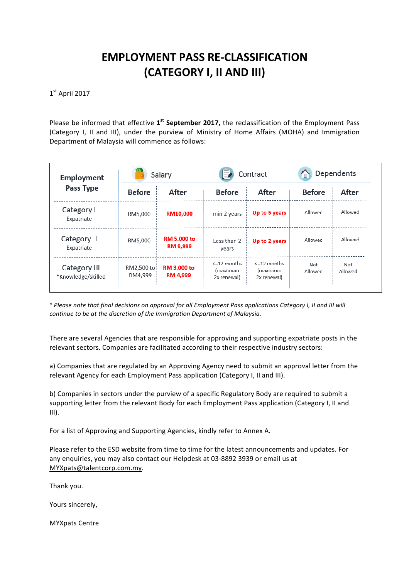## **EMPLOYMENT PASS RE-CLASSIFICATION (CATEGORY I, II AND III)**

 $1<sup>st</sup>$  April 2017

Please be informed that effective 1<sup>st</sup> September 2017, the reclassification of the Employment Pass (Category I, II and III), under the purview of Ministry of Home Affairs (MOHA) and Immigration Department of Malaysia will commence as follows:

| <b>Employment</b><br><b>Pass Type</b> | Salary                 |                                       | Contract                                    |                                             | Dependents     |                |
|---------------------------------------|------------------------|---------------------------------------|---------------------------------------------|---------------------------------------------|----------------|----------------|
|                                       | <b>Before</b>          | After                                 | <b>Before</b>                               | After                                       | <b>Before</b>  | After          |
| Category I<br>Expatriate              | RM5,000                | RM10,000                              | min 2 years                                 | Up to 5 years                               | Allowed        | Allowed        |
| Category II<br>Expatriate             | RM5,000                | <b>RM 5,000 to</b><br><b>RM 9,999</b> | Less than 2<br>years                        | Up to 2 years                               | Allowed        | Allowed        |
| Category III<br>*Knowledge/skilled    | RM2,500 to:<br>RM4,999 | <b>RM 3,000 to</b><br><b>RM 4,999</b> | $\leq$ 12 months<br>(maximum<br>2x renewal) | $\leq$ 12 months<br>(maximum<br>2x renewal) | Not<br>Allowed | Not<br>Allowed |

*\* Please note that final decisions on approval for all Employment Pass applications Category I, II and III will continue to be at the discretion of the Immigration Department of Malaysia.* 

There are several Agencies that are responsible for approving and supporting expatriate posts in the relevant sectors. Companies are facilitated according to their respective industry sectors:

a) Companies that are regulated by an Approving Agency need to submit an approval letter from the relevant Agency for each Employment Pass application (Category I, II and III).

b) Companies in sectors under the purview of a specific Regulatory Body are required to submit a supporting letter from the relevant Body for each Employment Pass application (Category I, II and III).

For a list of Approving and Supporting Agencies, kindly refer to Annex A.

Please refer to the ESD website from time to time for the latest announcements and updates. For any enquiries, you may also contact our Helpdesk at 03-8892 3939 or email us at MYXpats@talentcorp.com.my.

Thank you.

Yours sincerely,

**MYXpats Centre**